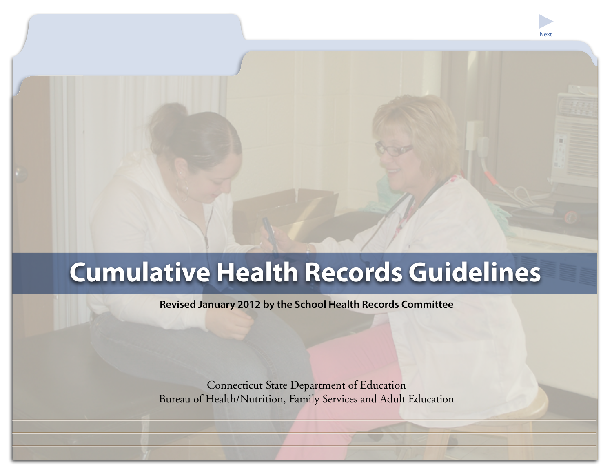# **Cumulative Health Records Guidelines**

**Revised January 2012 by the School Health Records Committee**

Connecticut State Department of Education Bureau of Health/Nutrition, Family Services and Adult Education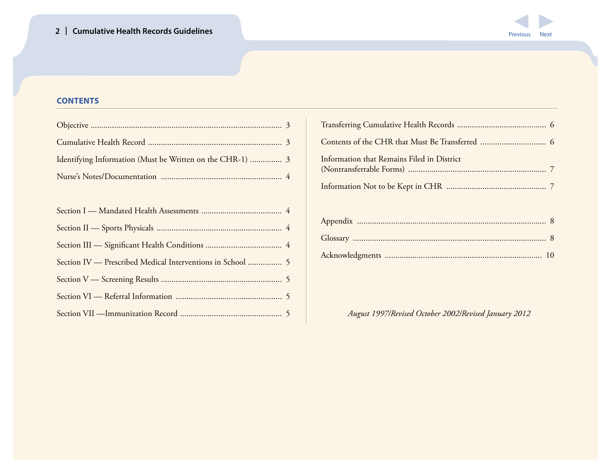

# **CONTENTS**

| Identifying Information (Must be Written on the CHR-1)  3 |  |
|-----------------------------------------------------------|--|
|                                                           |  |

| Information that Remains Filed in District |  |
|--------------------------------------------|--|
|                                            |  |

*August 1997/Revised October 2002/Revised January 2012*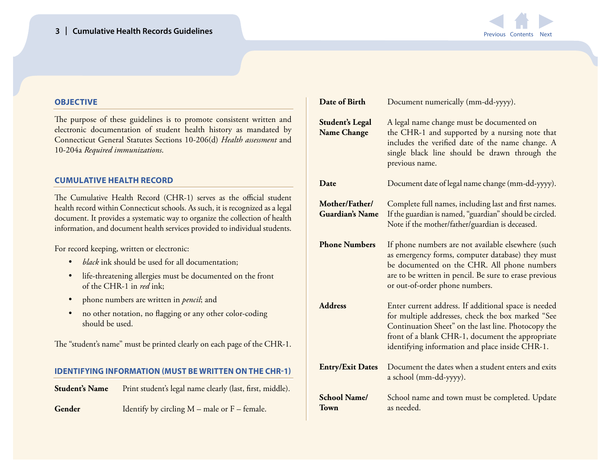

## <span id="page-2-0"></span>**OBJECTIVE**

The purpose of these guidelines is to promote consistent written and electronic documentation of student health history as mandated by Connecticut General Statutes Sections 10-206(d) *Health assessment* and 10-204a *Required immunizations*.

## **CUMULATIVE HEALTH RECORD**

The Cumulative Health Record (CHR-1) serves as the official student health record within Connecticut schools. As such, it is recognized as a legal document. It provides a systematic way to organize the collection of health information, and document health services provided to individual students.

For record keeping, written or electronic:

- • *black* ink should be used for all documentation;
- • life-threatening allergies must be documented on the front of the CHR-1 in *red* ink;
- • phone numbers are written in *pencil*; and
- no other notation, no flagging or any other color-coding should be used.

The "student's name" must be printed clearly on each page of the CHR-1.

## **IDENTIFYING INFORMATION (MUST BE WRITTEN ON THE CHR-1)**

| <b>Student's Name</b> | Print student's legal name clearly (last, first, middle). |
|-----------------------|-----------------------------------------------------------|
|                       |                                                           |

**Gender** Identify by circling M – male or F – female.

| Date of Birth                                | Document numerically (mm-dd-yyyy).                                                                                                                                                                                                                                      |
|----------------------------------------------|-------------------------------------------------------------------------------------------------------------------------------------------------------------------------------------------------------------------------------------------------------------------------|
| <b>Student's Legal</b><br><b>Name Change</b> | A legal name change must be documented on<br>the CHR-1 and supported by a nursing note that<br>includes the verified date of the name change. A<br>single black line should be drawn through the<br>previous name.                                                      |
| Date                                         | Document date of legal name change (mm-dd-yyyy).                                                                                                                                                                                                                        |
| Mother/Father/<br><b>Guardian's Name</b>     | Complete full names, including last and first names.<br>If the guardian is named, "guardian" should be circled.<br>Note if the mother/father/guardian is deceased.                                                                                                      |
| <b>Phone Numbers</b>                         | If phone numbers are not available elsewhere (such<br>as emergency forms, computer database) they must<br>be documented on the CHR. All phone numbers<br>are to be written in pencil. Be sure to erase previous<br>or out-of-order phone numbers.                       |
| <b>Address</b>                               | Enter current address. If additional space is needed<br>for multiple addresses, check the box marked "See<br>Continuation Sheet" on the last line. Photocopy the<br>front of a blank CHR-1, document the appropriate<br>identifying information and place inside CHR-1. |
| <b>Entry/Exit Dates</b>                      | Document the dates when a student enters and exits<br>a school (mm-dd-yyyy).                                                                                                                                                                                            |
| <b>School Name/</b><br>Town                  | School name and town must be completed. Update<br>as needed.                                                                                                                                                                                                            |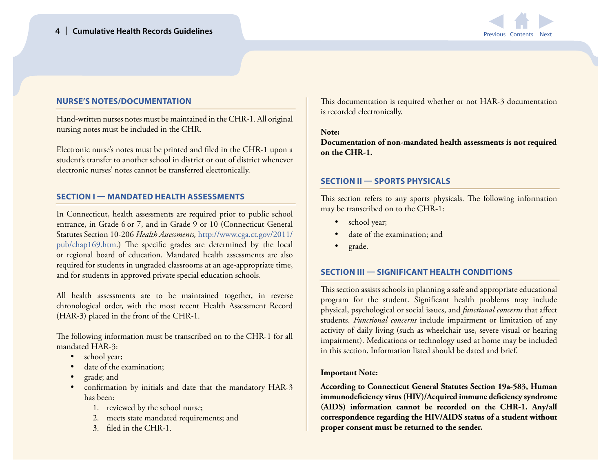

## <span id="page-3-0"></span>**NURSE'S NOTES/DOCUMENTATION**

Hand-written nurses notes must be maintained in the CHR-1. All original nursing notes must be included in the CHR.

Electronic nurse's notes must be printed and filed in the CHR-1 upon a student's transfer to another school in district or out of district whenever electronic nurses' notes cannot be transferred electronically.

#### **SECTION I — MANDATED HEALTH ASSESSMENTS**

In Connecticut, health assessments are required prior to public school entrance, in Grade 6 or 7, and in Grade 9 or 10 (Connecticut General Statutes Section 10-206 *Health Assessments,* [http://www.cga.ct.gov/2011/](http://www.cga.ct.gov/2011/pub/chap169.htm) [pub/chap169.htm](http://www.cga.ct.gov/2011/pub/chap169.htm).) The specific grades are determined by the local or regional board of education. Mandated health assessments are also required for students in ungraded classrooms at an age-appropriate time, and for students in approved private special education schools.

All health assessments are to be maintained together, in reverse chronological order, with the most recent Health Assessment Record (HAR-3) placed in the front of the CHR-1.

The following information must be transcribed on to the CHR-1 for all mandated HAR-3:

- school year;
- date of the examination:
- grade; and
- confirmation by initials and date that the mandatory HAR-3 has been:
	- 1. reviewed by the school nurse;
	- 2. meets state mandated requirements; and
	- 3. filed in the CHR-1.

This documentation is required whether or not HAR-3 documentation is recorded electronically.

#### **Note:**

**Documentation of non-mandated health assessments is not required on the CHR-1.**

## **SECTION II — SPORTS PHYSICALS**

This section refers to any sports physicals. The following information may be transcribed on to the CHR-1:

- school year;
- date of the examination; and
- grade.

## **SECTION III — SIGNIFICANT HEALTH CONDITIONS**

This section assists schools in planning a safe and appropriate educational program for the student. Significant health problems may include physical, psychological or social issues, and *functional concerns* that affect students. *Functional concerns* include impairment or limitation of any activity of daily living (such as wheelchair use, severe visual or hearing impairment). Medications or technology used at home may be included in this section. Information listed should be dated and brief.

## **Important Note:**

**According to Connecticut General Statutes Section 19a-583, Human immunodeficiency virus (HIV)/Acquired immune deficiency syndrome (AIDS) information cannot be recorded on the CHR-1. Any/all correspondence regarding the HIV/AIDS status of a student without proper consent must be returned to the sender.**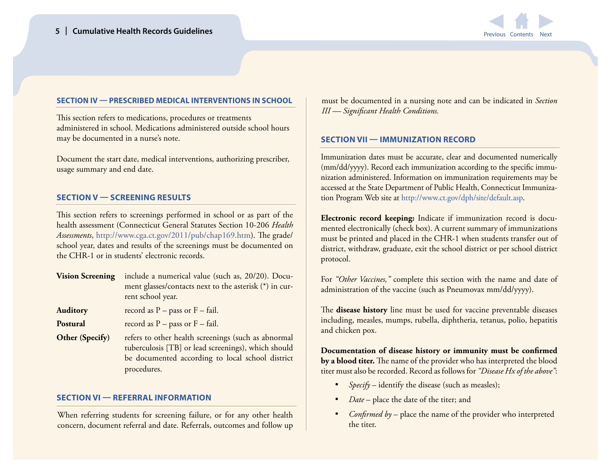

#### <span id="page-4-0"></span>**SECTION IV — PRESCRIBED MEDICAL INTERVENTIONS IN SCHOOL**

This section refers to medications, procedures or treatments administered in school. Medications administered outside school hours may be documented in a nurse's note.

Document the start date, medical interventions, authorizing prescriber, usage summary and end date.

#### **SECTION V — SCREENING RESULTS**

This section refers to screenings performed in school or as part of the health assessment (Connecticut General Statutes Section 10-206 *Health Assessments*,<http://www.cga.ct.gov/2011/pub/chap169.htm>). The grade/ school year, dates and results of the screenings must be documented on the CHR-1 or in students' electronic records.

**Vision Screening** include a numerical value (such as, 20/20). Document glasses/contacts next to the asterisk (\*) in current school year.

**Auditory** record as P – pass or F – fail.

**Postural** record as P – pass or F – fail.

**Other (Specify)** refers to other health screenings (such as abnormal tuberculosis [TB] or lead screenings), which should be documented according to local school district procedures.

## **SECTION VI — REFERRAL INFORMATION**

When referring students for screening failure, or for any other health concern, document referral and date. Referrals, outcomes and follow up

must be documented in a nursing note and can be indicated in *Section III — Significant Health Conditions.*

#### **SECTION VII — IMMUNIZATION RECORD**

Immunization dates must be accurate, clear and documented numerically (mm/dd/yyyy). Record each immunization according to the specific immunization administered. Information on immunization requirements may be accessed at the State Department of Public Health, Connecticut Immunization Program Web site at [http://www.ct.gov/dph/site/default.asp.](http://www.ct.gov/dph/site/default.asp)

**Electronic record keeping:** Indicate if immunization record is documented electronically (check box). A current summary of immunizations must be printed and placed in the CHR-1 when students transfer out of district, withdraw, graduate, exit the school district or per school district protocol.

For *"Other Vaccines,"* complete this section with the name and date of administration of the vaccine (such as Pneumovax mm/dd/yyyy).

The **disease history** line must be used for vaccine preventable diseases including, measles, mumps, rubella, diphtheria, tetanus, polio, hepatitis and chicken pox.

**Documentation of disease history or immunity must be confirmed by a blood titer.** The name of the provider who has interpreted the blood titer must also be recorded. Record as follows for *"Disease Hx of the above"*:

- *Specify* identify the disease (such as measles);
- Date place the date of the titer; and
- *Confirmed by* place the name of the provider who interpreted the titer.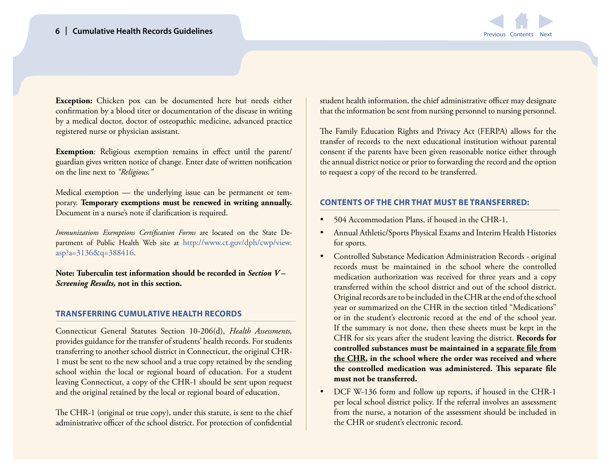

<span id="page-5-0"></span>**Exception:** Chicken pox can be documented here but needs either confirmation by a blood titer or documentation of the disease in writing by a medical doctor, doctor of osteopathic medicine, advanced practice registered nurse or physician assistant.

**Exemption**: Religious exemption remains in effect until the parent/ guardian gives written notice of change. Enter date of written notification on the line next to *"Religious."*

Medical exemption — the underlying issue can be permanent or temporary. **Temporary exemptions must be renewed in writing annually.**  Document in a nurse's note if clarification is required.

*Immunizations Exemptions Certification Forms* are located on the State Department of Public Health Web site at [http://www.ct.gov/dph/cwp/view.](http://www.ct.gov/dph/cwp/view.asp?a=3136&q=388416) [asp?a=3136&q=388416.](http://www.ct.gov/dph/cwp/view.asp?a=3136&q=388416)

**Note: Tuberculin test information should be recorded in** *Section V – Screening Results,* **not in this section.**

#### **TRANSFERRING CUMULATIVE HEALTH RECORDS**

Connecticut General Statutes Section 10-206(d), *Health Assessments,*  provides guidance for the transfer of students' health records. For students transferring to another school district in Connecticut, the original CHR-1 must be sent to the new school and a true copy retained by the sending school within the local or regional board of education. For a student leaving Connecticut, a copy of the CHR-1 should be sent upon request and the original retained by the local or regional board of education.

The CHR-1 (original or true copy), under this statute, is sent to the chief administrative officer of the school district. For protection of confidential

student health information, the chief administrative officer may designate that the information be sent from nursing personnel to nursing personnel.

The Family Education Rights and Privacy Act (FERPA) allows for the transfer of records to the next educational institution without parental consent if the parents have been given reasonable notice either through the annual district notice or prior to forwarding the record and the option to request a copy of the record to be transferred.

#### **CONTENTS OF THE CHR THAT MUST BE TRANSFERRED:**

- 504 Accommodation Plans, if housed in the CHR-1.
- Annual Athletic/Sports Physical Exams and Interim Health Histories for sports.
- Controlled Substance Medication Administration Records original records must be maintained in the school where the controlled medication authorization was received for three years and a copy transferred within the school district and out of the school district. Original records are to be included in the CHR at the end of the school year or summarized on the CHR in the section titled "Medications" or in the student's electronic record at the end of the school year. If the summary is not done, then these sheets must be kept in the CHR for six years after the student leaving the district. **Records for controlled substances must be maintained in a separate file from the CHR, in the school where the order was received and where the controlled medication was administered. This separate file must not be transferred.**
- DCF W-136 form and follow up reports, if housed in the CHR-1 per local school district policy. If the referral involves an assessment from the nurse, a notation of the assessment should be included in the CHR or student's electronic record.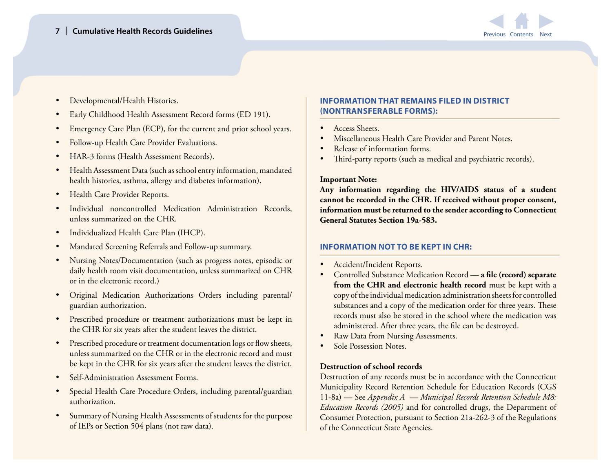

- <span id="page-6-0"></span>Developmental/Health Histories.
- Early Childhood Health Assessment Record forms (ED 191).
- Emergency Care Plan (ECP), for the current and prior school years.
- Follow-up Health Care Provider Evaluations.
- HAR-3 forms (Health Assessment Records).
- Health Assessment Data (such as school entry information, mandated health histories, asthma, allergy and diabetes information).
- **Health Care Provider Reports.**
- Individual noncontrolled Medication Administration Records, unless summarized on the CHR.
- Individualized Health Care Plan (IHCP).
- Mandated Screening Referrals and Follow-up summary.
- Nursing Notes/Documentation (such as progress notes, episodic or daily health room visit documentation, unless summarized on CHR or in the electronic record.)
- • Original Medication Authorizations Orders including parental/ guardian authorization.
- Prescribed procedure or treatment authorizations must be kept in the CHR for six years after the student leaves the district.
- Prescribed procedure or treatment documentation logs or flow sheets, unless summarized on the CHR or in the electronic record and must be kept in the CHR for six years after the student leaves the district.
- Self-Administration Assessment Forms.
- **Special Health Care Procedure Orders, including parental/guardian** authorization.
- Summary of Nursing Health Assessments of students for the purpose of IEPs or Section 504 plans (not raw data).

# **INFORMATION THAT REMAINS FILED IN DISTRICT (NONTRANSFERABLE FORMS):**

- Access Sheets.
- Miscellaneous Health Care Provider and Parent Notes.
- Release of information forms.
- Third-party reports (such as medical and psychiatric records).

## **Important Note:**

**Any information regarding the HIV/AIDS status of a student cannot be recorded in the CHR. If received without proper consent, information must be returned to the sender according to Connecticut General Statutes Section 19a-583.** 

# **INFORMATION NOT TO BE KEPT IN CHR:**

- Accident/Incident Reports.
- • Controlled Substance Medication Record **a file (record) separate from the CHR and electronic health record** must be kept with a copy of the individual medication administration sheets for controlled substances and a copy of the medication order for three years. These records must also be stored in the school where the medication was administered. After three years, the file can be destroyed.
- Raw Data from Nursing Assessments.
- Sole Possession Notes.

## **Destruction of school records**

Destruction of any records must be in accordance with the Connecticut Municipality Record Retention Schedule for Education Records (CGS 11-8a) — See *Appendix A — Municipal Records Retention Schedule M8: Education Records (2005)* and for controlled drugs, the Department of Consumer Protection, pursuant to Section 21a-262-3 of the Regulations of the Connecticut State Agencies.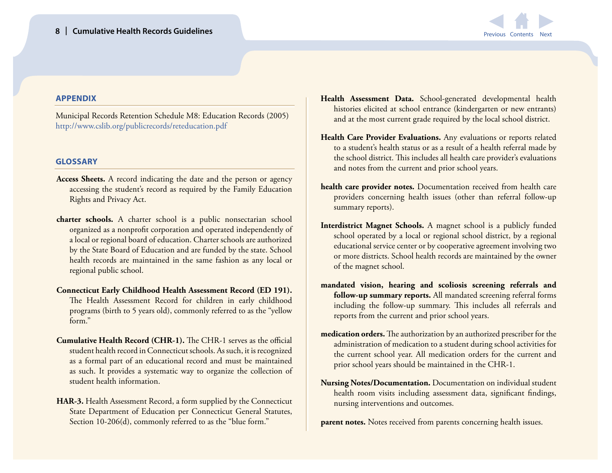

## <span id="page-7-0"></span>**APPENDIX**

Municipal Records Retention Schedule M8: Education Records (2005) <http://www.cslib.org/publicrecords/reteducation.pdf>

#### **GLOSSARY**

- **Access Sheets.** A record indicating the date and the person or agency accessing the student's record as required by the Family Education Rights and Privacy Act.
- **charter schools.** A charter school is a public nonsectarian school organized as a nonprofit corporation and operated independently of a local or regional board of education. Charter schools are authorized by the State Board of Education and are funded by the state. School health records are maintained in the same fashion as any local or regional public school.
- **Connecticut Early Childhood Health Assessment Record (ED 191).** The Health Assessment Record for children in early childhood programs (birth to 5 years old), commonly referred to as the "yellow form."
- **Cumulative Health Record (CHR-1).** The CHR-1 serves as the official student health record in Connecticut schools. As such, it is recognized as a formal part of an educational record and must be maintained as such. It provides a systematic way to organize the collection of student health information.
- **HAR-3.** Health Assessment Record, a form supplied by the Connecticut State Department of Education per Connecticut General Statutes, Section 10-206(d), commonly referred to as the "blue form."
- **Health Assessment Data.** School-generated developmental health histories elicited at school entrance (kindergarten or new entrants) and at the most current grade required by the local school district.
- **Health Care Provider Evaluations.** Any evaluations or reports related to a student's health status or as a result of a health referral made by the school district. This includes all health care provider's evaluations and notes from the current and prior school years.
- **health care provider notes.** Documentation received from health care providers concerning health issues (other than referral follow-up summary reports).
- **Interdistrict Magnet Schools.** A magnet school is a publicly funded school operated by a local or regional school district, by a regional educational service center or by cooperative agreement involving two or more districts. School health records are maintained by the owner of the magnet school.
- **mandated vision, hearing and scoliosis screening referrals and follow-up summary reports.** All mandated screening referral forms including the follow-up summary. This includes all referrals and reports from the current and prior school years.
- **medication orders.** The authorization by an authorized prescriber for the administration of medication to a student during school activities for the current school year. All medication orders for the current and prior school years should be maintained in the CHR-1.
- **Nursing Notes/Documentation.** Documentation on individual student health room visits including assessment data, significant findings, nursing interventions and outcomes.

**parent notes.** Notes received from parents concerning health issues.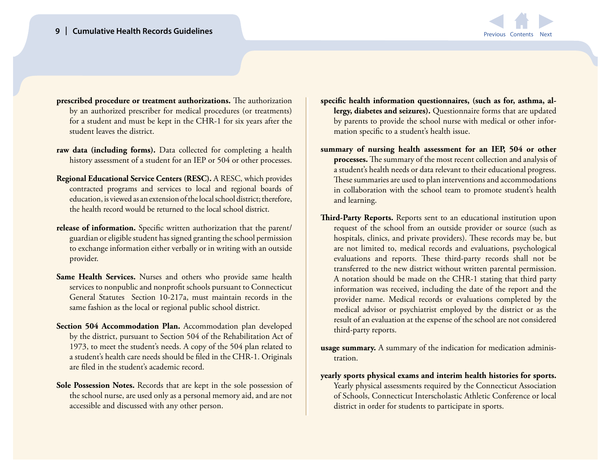# **9 | Cumulative Health Records Guidelines**



- **prescribed procedure or treatment authorizations.** The authorization by an authorized prescriber for medical procedures (or treatments) for a student and must be kept in the CHR-1 for six years after the student leaves the district.
- **raw data (including forms).** Data collected for completing a health history assessment of a student for an IEP or 504 or other processes.
- **Regional Educational Service Centers (RESC).** A RESC, which provides contracted programs and services to local and regional boards of education, is viewed as an extension of the local school district; therefore, the health record would be returned to the local school district.
- **release of information.** Specific written authorization that the parent/ guardian or eligible student has signed granting the school permission to exchange information either verbally or in writing with an outside provider.
- **Same Health Services.** Nurses and others who provide same health services to nonpublic and nonprofit schools pursuant to Connecticut General Statutes Section 10-217a, must maintain records in the same fashion as the local or regional public school district.
- Section 504 Accommodation Plan. Accommodation plan developed by the district, pursuant to Section 504 of the Rehabilitation Act of 1973, to meet the student's needs. A copy of the 504 plan related to a student's health care needs should be filed in the CHR-1. Originals are filed in the student's academic record.
- **Sole Possession Notes.** Records that are kept in the sole possession of the school nurse, are used only as a personal memory aid, and are not accessible and discussed with any other person.
- **specific health information questionnaires, (such as for, asthma, allergy, diabetes and seizures).** Questionnaire forms that are updated by parents to provide the school nurse with medical or other information specific to a student's health issue.
- **summary of nursing health assessment for an IEP, 504 or other processes.** The summary of the most recent collection and analysis of a student's health needs or data relevant to their educational progress. These summaries are used to plan interventions and accommodations in collaboration with the school team to promote student's health and learning.
- **Third-Party Reports.** Reports sent to an educational institution upon request of the school from an outside provider or source (such as hospitals, clinics, and private providers). These records may be, but are not limited to, medical records and evaluations, psychological evaluations and reports. These third-party records shall not be transferred to the new district without written parental permission. A notation should be made on the CHR-1 stating that third party information was received, including the date of the report and the provider name. Medical records or evaluations completed by the medical advisor or psychiatrist employed by the district or as the result of an evaluation at the expense of the school are not considered third-party reports.
- **usage summary.** A summary of the indication for medication administration.
- **yearly sports physical exams and interim health histories for sports.**  Yearly physical assessments required by the Connecticut Association of Schools, Connecticut Interscholastic Athletic Conference or local district in order for students to participate in sports.